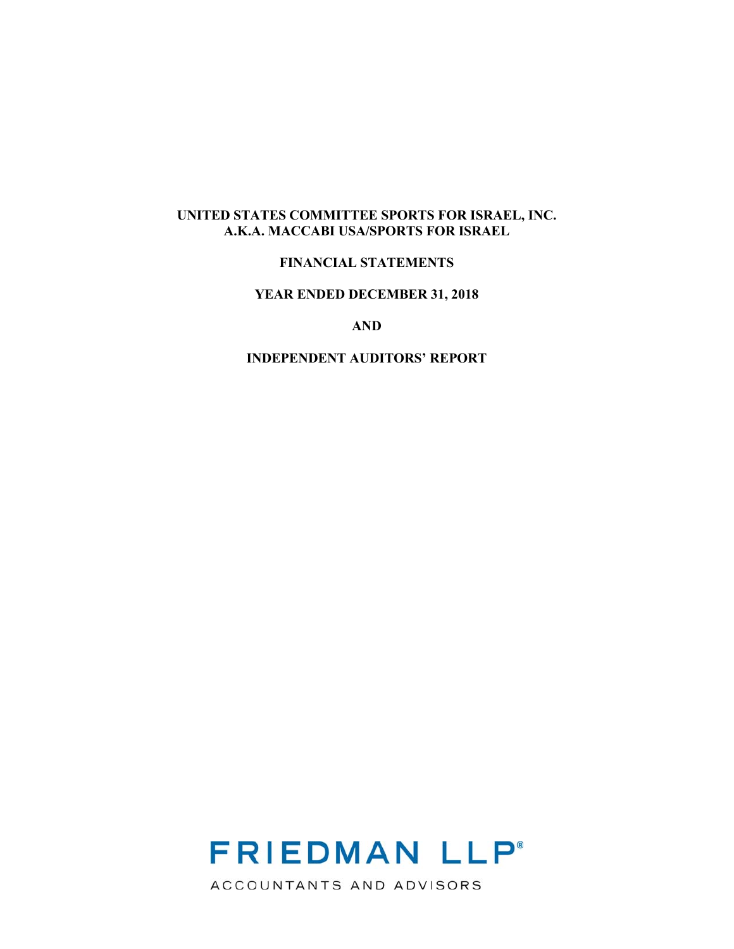#### **FINANCIAL STATEMENTS**

**YEAR ENDED DECEMBER 31, 2018** 

**AND** 

## **INDEPENDENT AUDITORS' REPORT**



ACCOUNTANTS AND ADVISORS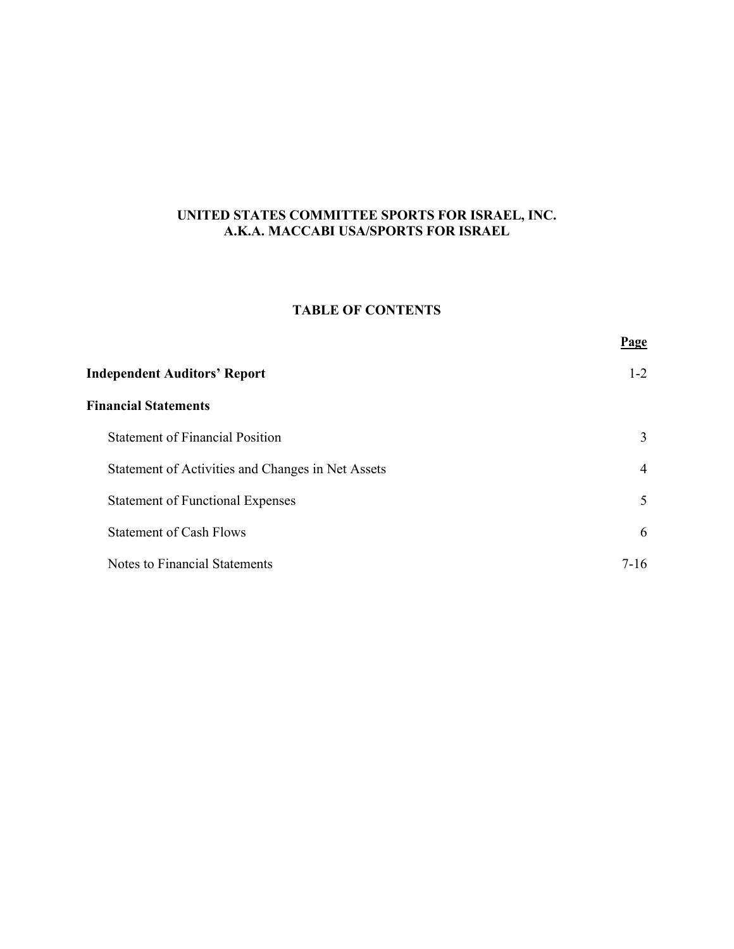## **TABLE OF CONTENTS**

| <b>Independent Auditors' Report</b>               | $1 - 2$ |
|---------------------------------------------------|---------|
| <b>Financial Statements</b>                       |         |
| <b>Statement of Financial Position</b>            | 3       |
| Statement of Activities and Changes in Net Assets | 4       |
| <b>Statement of Functional Expenses</b>           | 5       |
| <b>Statement of Cash Flows</b>                    | 6       |
| Notes to Financial Statements                     | 7-16    |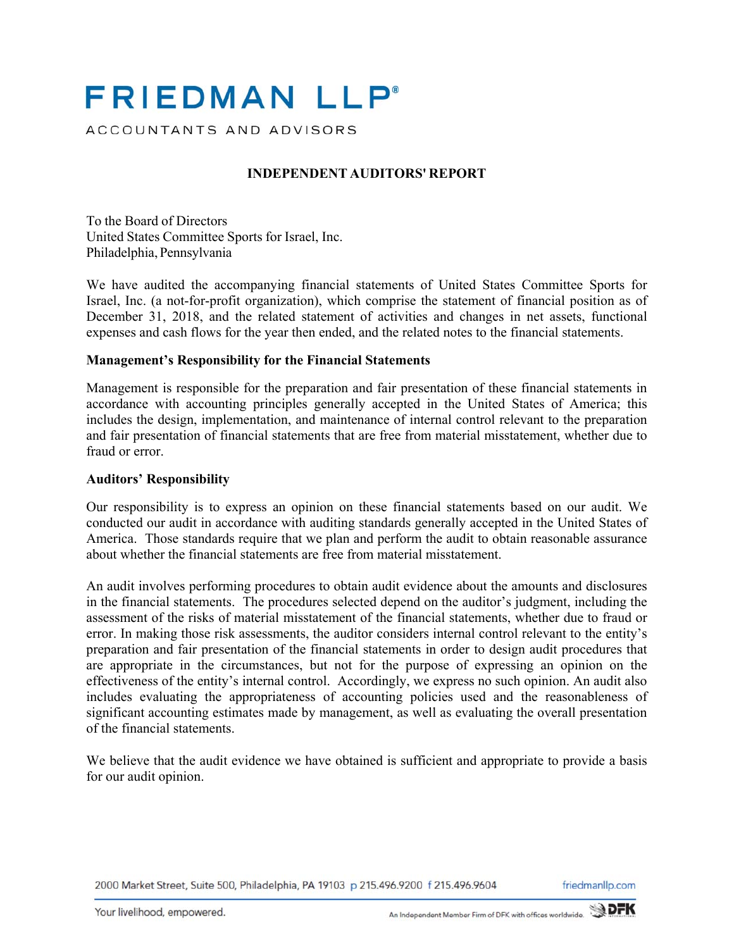# **FRIEDMAN LLP<sup>®</sup>**

ACCOUNTANTS AND ADVISORS

## **INDEPENDENT AUDITORS' REPORT**

To the Board of Directors United States Committee Sports for Israel, Inc. Philadelphia, Pennsylvania

We have audited the accompanying financial statements of United States Committee Sports for Israel, Inc. (a not-for-profit organization), which comprise the statement of financial position as of December 31, 2018, and the related statement of activities and changes in net assets, functional expenses and cash flows for the year then ended, and the related notes to the financial statements.

#### **Management's Responsibility for the Financial Statements**

Management is responsible for the preparation and fair presentation of these financial statements in accordance with accounting principles generally accepted in the United States of America; this includes the design, implementation, and maintenance of internal control relevant to the preparation and fair presentation of financial statements that are free from material misstatement, whether due to fraud or error.

#### **Auditors' Responsibility**

Our responsibility is to express an opinion on these financial statements based on our audit. We conducted our audit in accordance with auditing standards generally accepted in the United States of America. Those standards require that we plan and perform the audit to obtain reasonable assurance about whether the financial statements are free from material misstatement.

An audit involves performing procedures to obtain audit evidence about the amounts and disclosures in the financial statements. The procedures selected depend on the auditor's judgment, including the assessment of the risks of material misstatement of the financial statements, whether due to fraud or error. In making those risk assessments, the auditor considers internal control relevant to the entity's preparation and fair presentation of the financial statements in order to design audit procedures that are appropriate in the circumstances, but not for the purpose of expressing an opinion on the effectiveness of the entity's internal control. Accordingly, we express no such opinion. An audit also includes evaluating the appropriateness of accounting policies used and the reasonableness of significant accounting estimates made by management, as well as evaluating the overall presentation of the financial statements.

We believe that the audit evidence we have obtained is sufficient and appropriate to provide a basis for our audit opinion.

2000 Market Street, Suite 500, Philadelphia, PA 19103 p 215.496.9200 f 215.496.9604



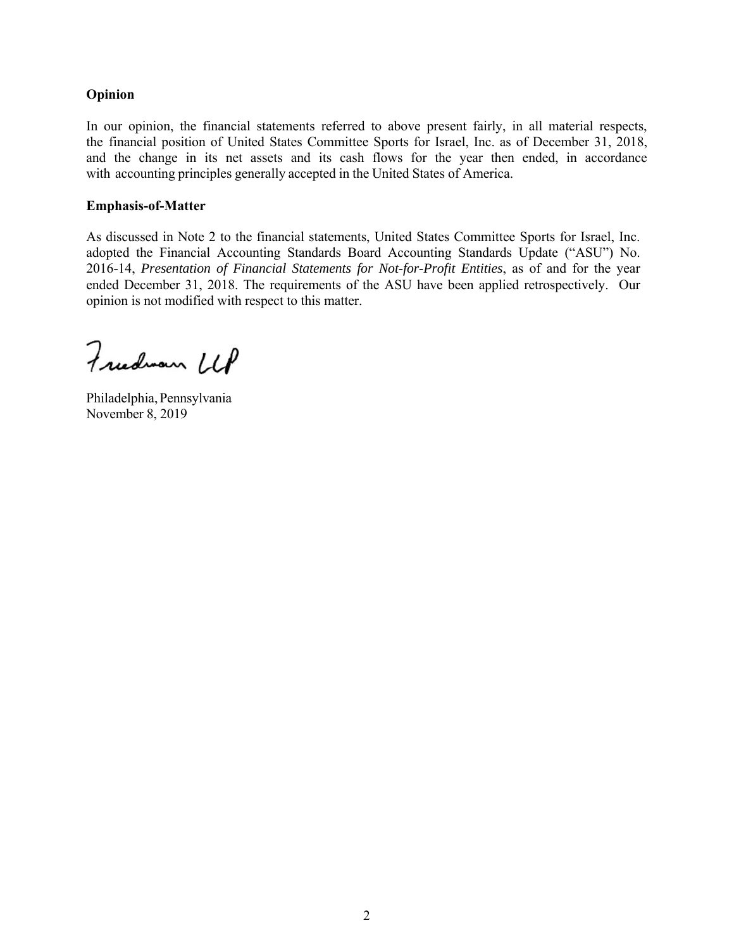## **Opinion**

In our opinion, the financial statements referred to above present fairly, in all material respects, the financial position of United States Committee Sports for Israel, Inc. as of December 31, 2018, and the change in its net assets and its cash flows for the year then ended, in accordance with accounting principles generally accepted in the United States of America.

#### **Emphasis-of-Matter**

As discussed in Note 2 to the financial statements, United States Committee Sports for Israel, Inc. adopted the Financial Accounting Standards Board Accounting Standards Update ("ASU") No. 2016-14, *Presentation of Financial Statements for Not-for-Profit Entities*, as of and for the year ended December 31, 2018. The requirements of the ASU have been applied retrospectively. Our opinion is not modified with respect to this matter.

Freedman LLP

Philadelphia, Pennsylvania November 8, 2019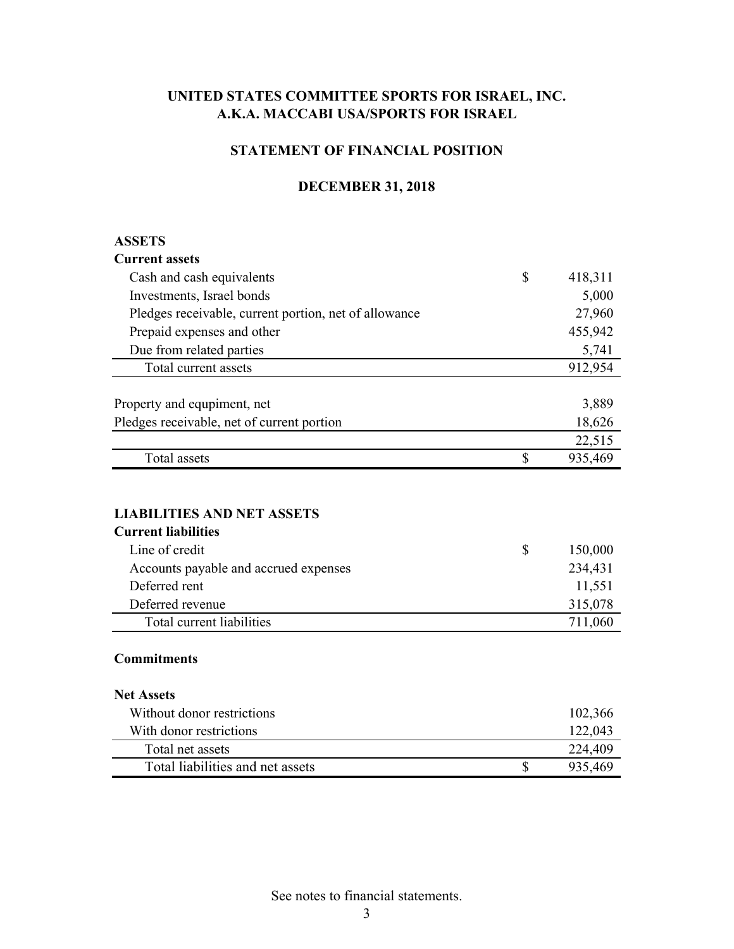## **STATEMENT OF FINANCIAL POSITION**

# **DECEMBER 31, 2018**

## **ASSETS**

| <b>Current assets</b>                                 |               |
|-------------------------------------------------------|---------------|
| Cash and cash equivalents                             | \$<br>418,311 |
| Investments, Israel bonds                             | 5,000         |
| Pledges receivable, current portion, net of allowance | 27,960        |
| Prepaid expenses and other                            | 455,942       |
| Due from related parties                              | 5,741         |
| Total current assets                                  | 912,954       |
|                                                       |               |
| Property and equpiment, net                           | 3,889         |
| Pledges receivable, net of current portion            | 18,626        |
|                                                       | 22,515        |
| Total assets                                          | \$<br>935,469 |
|                                                       |               |
|                                                       |               |

## **LIABILITIES AND NET ASSETS**

| <b>Current liabilities</b>            |   |         |
|---------------------------------------|---|---------|
| Line of credit                        | S | 150,000 |
| Accounts payable and accrued expenses |   | 234,431 |
| Deferred rent                         |   | 11,551  |
| Deferred revenue                      |   | 315,078 |
| Total current liabilities             |   | 711,060 |

## **Commitments**

## **Net Assets**

| Without donor restrictions       | 102,366 |
|----------------------------------|---------|
| With donor restrictions          | 122,043 |
| Total net assets                 | 224,409 |
| Total liabilities and net assets | 935.469 |

See notes to financial statements.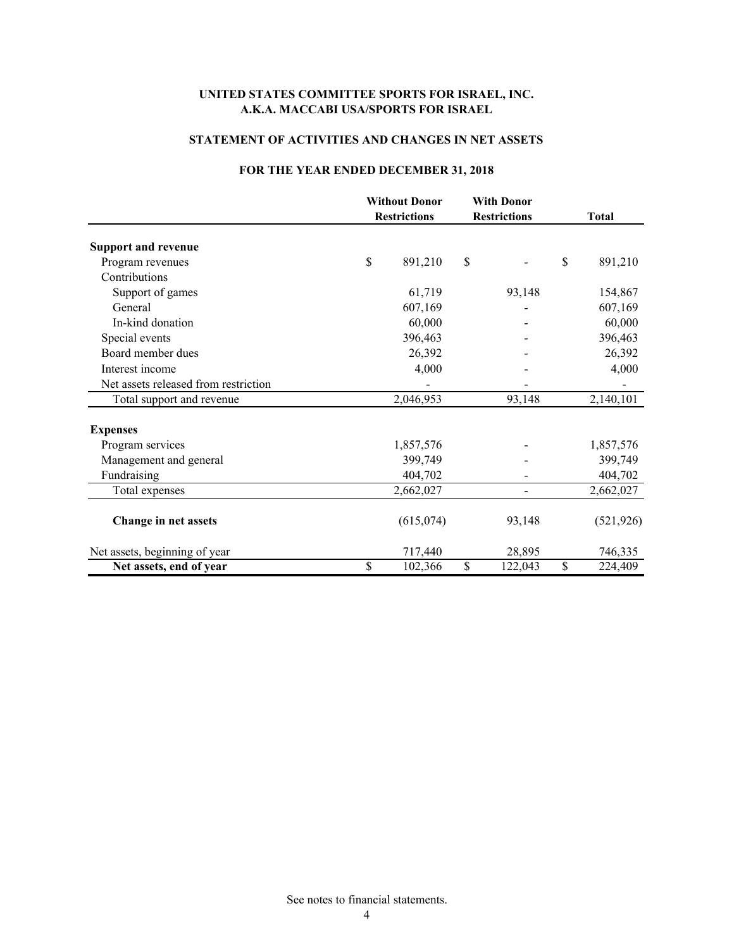## **STATEMENT OF ACTIVITIES AND CHANGES IN NET ASSETS**

#### **FOR THE YEAR ENDED DECEMBER 31, 2018**

|                                      | <b>Without Donor</b><br><b>Restrictions</b> | <b>With Donor</b><br><b>Restrictions</b> | <b>Total</b>  |  |
|--------------------------------------|---------------------------------------------|------------------------------------------|---------------|--|
|                                      |                                             |                                          |               |  |
| <b>Support and revenue</b>           |                                             |                                          |               |  |
| Program revenues                     | \$<br>891,210                               | \$                                       | \$<br>891,210 |  |
| Contributions                        |                                             |                                          |               |  |
| Support of games                     | 61,719                                      | 93,148                                   | 154,867       |  |
| General                              | 607,169                                     |                                          | 607,169       |  |
| In-kind donation                     | 60,000                                      |                                          | 60,000        |  |
| Special events                       | 396,463                                     |                                          | 396,463       |  |
| Board member dues                    | 26,392                                      |                                          | 26,392        |  |
| Interest income                      | 4,000                                       |                                          | 4,000         |  |
| Net assets released from restriction |                                             |                                          |               |  |
| Total support and revenue            | 2,046,953                                   | 93,148                                   | 2,140,101     |  |
| <b>Expenses</b>                      |                                             |                                          |               |  |
| Program services                     | 1,857,576                                   |                                          | 1,857,576     |  |
| Management and general               | 399,749                                     |                                          | 399,749       |  |
| Fundraising                          | 404,702                                     |                                          | 404,702       |  |
| Total expenses                       | 2,662,027                                   |                                          | 2,662,027     |  |
| Change in net assets                 | (615,074)                                   | 93,148                                   | (521, 926)    |  |
| Net assets, beginning of year        | 717,440                                     | 28,895                                   | 746,335       |  |
| Net assets, end of year              | \$<br>102,366                               | \$<br>122,043                            | \$<br>224,409 |  |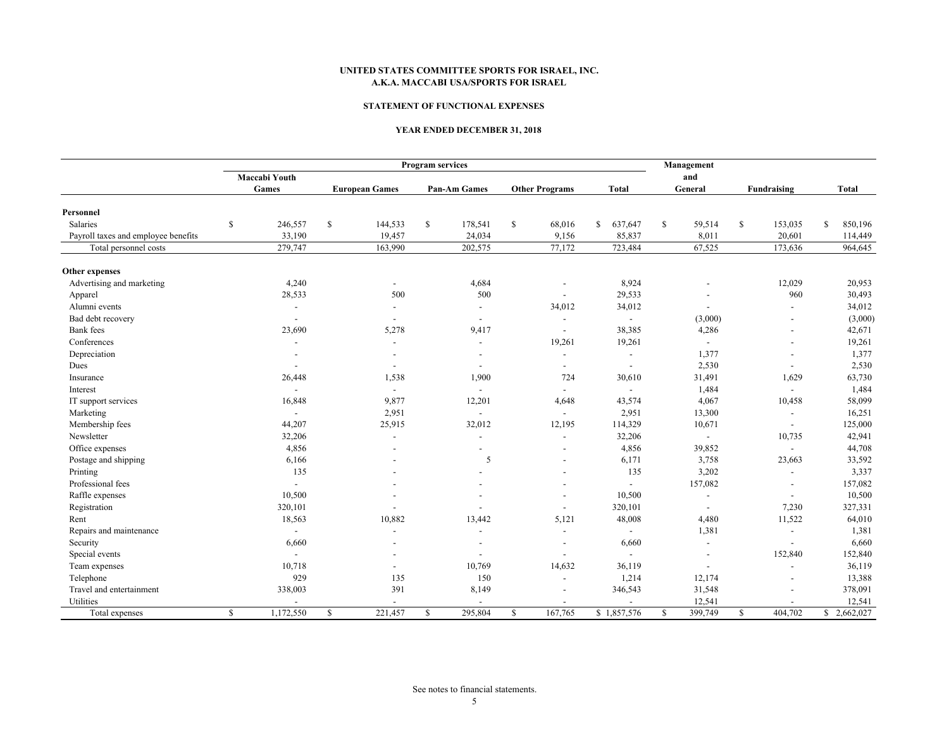#### **A.K.A. MACCABI USA/SPORTS FOR ISRAEL UNITED STATES COMMITTEE SPORTS FOR ISRAEL, INC.**

#### **STATEMENT OF FUNCTIONAL EXPENSES**

#### **YEAR ENDED DECEMBER 31, 2018**

|                                     | <b>Program services</b> |                          |              |                          |              |                          |              |                          | Management |                          |               |                          |              |                          |    |              |
|-------------------------------------|-------------------------|--------------------------|--------------|--------------------------|--------------|--------------------------|--------------|--------------------------|------------|--------------------------|---------------|--------------------------|--------------|--------------------------|----|--------------|
|                                     |                         | Maccabi Youth            |              |                          |              |                          |              |                          |            |                          |               | and                      |              |                          |    |              |
|                                     |                         | Games                    |              | <b>European Games</b>    |              | <b>Pan-Am Games</b>      |              | <b>Other Programs</b>    |            | Total                    |               | General                  |              | Fundraising              |    | <b>Total</b> |
| Personnel                           |                         |                          |              |                          |              |                          |              |                          |            |                          |               |                          |              |                          |    |              |
| Salaries                            | \$                      | 246,557                  | \$           | 144,533                  | \$           | 178,541                  | $\mathbb S$  | 68,016                   | \$         | 637,647                  | $\mathbb{S}$  | 59,514                   | \$           | 153,035                  | \$ | 850,196      |
| Payroll taxes and employee benefits |                         | 33,190                   |              | 19,457                   |              | 24,034                   |              | 9,156                    |            | 85,837                   |               | 8,011                    |              | 20,601                   |    | 114,449      |
| Total personnel costs               |                         | 279,747                  |              | 163,990                  |              | 202,575                  |              | 77,172                   |            | 723,484                  |               | 67,525                   |              | 173,636                  |    | 964,645      |
|                                     |                         |                          |              |                          |              |                          |              |                          |            |                          |               |                          |              |                          |    |              |
| Other expenses                      |                         |                          |              |                          |              |                          |              |                          |            |                          |               |                          |              |                          |    |              |
| Advertising and marketing           |                         | 4,240                    |              | $\overline{\phantom{a}}$ |              | 4,684                    |              |                          |            | 8,924                    |               |                          |              | 12,029                   |    | 20,953       |
| Apparel                             |                         | 28,533                   |              | 500                      |              | 500                      |              | $\overline{\phantom{a}}$ |            | 29,533                   |               |                          |              | 960                      |    | 30,493       |
| Alumni events                       |                         | $\blacksquare$           |              | $\blacksquare$           |              | $\overline{\phantom{a}}$ |              | 34,012                   |            | 34,012                   |               | $\overline{a}$           |              | $\sim$                   |    | 34,012       |
| Bad debt recovery                   |                         | $\overline{a}$           |              | $\overline{\phantom{a}}$ |              | $\overline{\phantom{a}}$ |              | $\overline{a}$           |            |                          |               | (3,000)                  |              |                          |    | (3,000)      |
| <b>Bank</b> fees                    |                         | 23,690                   |              | 5,278                    |              | 9,417                    |              | $\overline{a}$           |            | 38,385                   |               | 4,286                    |              |                          |    | 42,671       |
| Conferences                         |                         |                          |              |                          |              | $\overline{\phantom{a}}$ |              | 19,261                   |            | 19,261                   |               | $\overline{\phantom{a}}$ |              |                          |    | 19,261       |
| Depreciation                        |                         |                          |              | $\overline{\phantom{0}}$ |              | $\overline{\phantom{a}}$ |              | $\overline{\phantom{a}}$ |            | $\overline{\phantom{a}}$ |               | 1,377                    |              |                          |    | 1,377        |
| Dues                                |                         |                          |              | $\overline{a}$           |              | $\overline{a}$           |              | $\overline{a}$           |            | $\overline{\phantom{a}}$ |               | 2,530                    |              | $\overline{\phantom{a}}$ |    | 2,530        |
| Insurance                           |                         | 26,448                   |              | 1,538                    |              | 1,900                    |              | 724                      |            | 30,610                   |               | 31,491                   |              | 1,629                    |    | 63,730       |
| Interest                            |                         |                          |              | $\overline{\phantom{a}}$ |              | $\overline{\phantom{a}}$ |              | $\overline{a}$           |            | $\overline{\phantom{a}}$ |               | 1,484                    |              | $\mathbf{r}$             |    | 1,484        |
| IT support services                 |                         | 16,848                   |              | 9,877                    |              | 12,201                   |              | 4,648                    |            | 43,574                   |               | 4,067                    |              | 10,458                   |    | 58,099       |
| Marketing                           |                         |                          |              | 2,951                    |              | $\overline{a}$           |              | $\overline{a}$           |            | 2,951                    |               | 13,300                   |              | $\overline{a}$           |    | 16,251       |
| Membership fees                     |                         | 44,207                   |              | 25,915                   |              | 32,012                   |              | 12,195                   |            | 114,329                  |               | 10,671                   |              | $\sim$                   |    | 125,000      |
| Newsletter                          |                         | 32,206                   |              | $\overline{a}$           |              | $\overline{\phantom{a}}$ |              | $\overline{\phantom{a}}$ |            | 32,206                   |               | $\overline{\phantom{a}}$ |              | 10,735                   |    | 42,941       |
| Office expenses                     |                         | 4,856                    |              |                          |              | $\overline{a}$           |              |                          |            | 4,856                    |               | 39,852                   |              | $\mathbf{r}$             |    | 44,708       |
| Postage and shipping                |                         | 6,166                    |              |                          |              | 5                        |              |                          |            | 6,171                    |               | 3,758                    |              | 23,663                   |    | 33,592       |
| Printing                            |                         | 135                      |              |                          |              |                          |              | $\overline{a}$           |            | 135                      |               | 3,202                    |              |                          |    | 3,337        |
| Professional fees                   |                         | $\overline{a}$           |              |                          |              |                          |              |                          |            | $\overline{a}$           |               | 157,082                  |              | $\overline{a}$           |    | 157,082      |
| Raffle expenses                     |                         | 10,500                   |              |                          |              |                          |              |                          |            | 10,500                   |               | $\overline{a}$           |              | $\overline{a}$           |    | 10,500       |
| Registration                        |                         | 320,101                  |              |                          |              |                          |              | $\overline{\phantom{a}}$ |            | 320,101                  |               | $\overline{a}$           |              | 7,230                    |    | 327,331      |
| Rent                                |                         | 18,563                   |              | 10,882                   |              | 13,442                   |              | 5,121                    |            | 48,008                   |               | 4,480                    |              | 11,522                   |    | 64,010       |
| Repairs and maintenance             |                         | $\overline{\phantom{a}}$ |              | $\overline{\phantom{a}}$ |              | $\overline{\phantom{a}}$ |              | $\overline{\phantom{a}}$ |            | $\overline{\phantom{a}}$ |               | 1,381                    |              | $\overline{a}$           |    | 1,381        |
| Security                            |                         | 6,660                    |              | $\overline{\phantom{0}}$ |              | $\overline{\phantom{a}}$ |              | $\overline{\phantom{a}}$ |            | 6,660                    |               | $\overline{\phantom{a}}$ |              | $\overline{\phantom{a}}$ |    | 6,660        |
| Special events                      |                         | $\overline{\phantom{a}}$ |              |                          |              |                          |              |                          |            |                          |               | $\overline{a}$           |              | 152,840                  |    | 152,840      |
| Team expenses                       |                         | 10,718                   |              |                          |              | 10,769                   |              | 14,632                   |            | 36,119                   |               |                          |              |                          |    | 36,119       |
| Telephone                           |                         | 929                      |              | 135                      |              | 150                      |              |                          |            | 1,214                    |               | 12,174                   |              |                          |    | 13,388       |
| Travel and entertainment            |                         | 338,003                  |              | 391                      |              | 8,149                    |              | $\overline{\phantom{a}}$ |            | 346,543                  |               | 31,548                   |              |                          |    | 378,091      |
| Utilities                           |                         | $\overline{\phantom{a}}$ |              |                          |              | $\overline{\phantom{a}}$ |              | $\overline{\phantom{a}}$ |            | $\overline{\phantom{a}}$ |               | 12,541                   |              |                          |    | 12,541       |
| Total expenses                      | <sup>S</sup>            | 1,172,550                | $\mathbb{S}$ | 221,457                  | $\mathbb{S}$ | 295,804                  | $\mathbb{S}$ | 167,765                  |            | \$1,857,576              | <sup>\$</sup> | 399,749                  | $\mathbb{S}$ | 404,702                  |    | \$2,662,027  |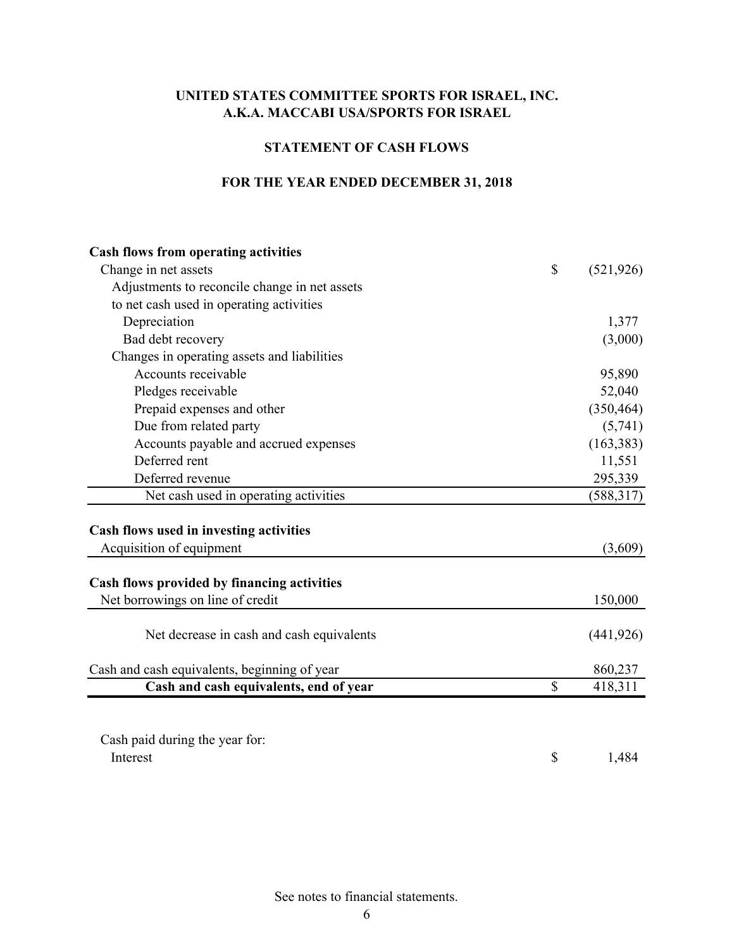## **STATEMENT OF CASH FLOWS**

## **FOR THE YEAR ENDED DECEMBER 31, 2018**

| <b>Cash flows from operating activities</b>   |                  |
|-----------------------------------------------|------------------|
| Change in net assets                          | \$<br>(521, 926) |
| Adjustments to reconcile change in net assets |                  |
| to net cash used in operating activities      |                  |
| Depreciation                                  | 1,377            |
| Bad debt recovery                             | (3,000)          |
| Changes in operating assets and liabilities   |                  |
| Accounts receivable                           | 95,890           |
| Pledges receivable                            | 52,040           |
| Prepaid expenses and other                    | (350, 464)       |
| Due from related party                        | (5,741)          |
| Accounts payable and accrued expenses         | (163, 383)       |
| Deferred rent                                 | 11,551           |
|                                               | 295,339          |
| Deferred revenue                              |                  |
| Net cash used in operating activities         | (588, 317)       |
|                                               |                  |
| Cash flows used in investing activities       |                  |
| Acquisition of equipment                      | (3,609)          |
|                                               |                  |
| Cash flows provided by financing activities   |                  |
| Net borrowings on line of credit              | 150,000          |
| Net decrease in cash and cash equivalents     | (441, 926)       |
| Cash and cash equivalents, beginning of year  | 860,237          |

Cash paid during the year for: Interest  $\qquad \qquad$  1,484

See notes to financial statements.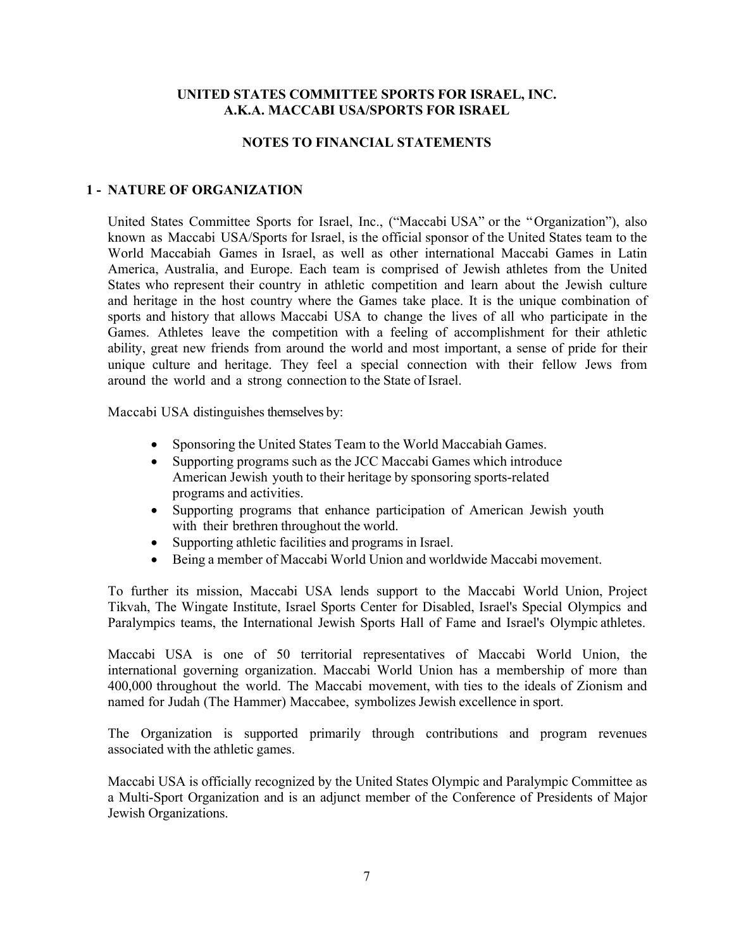### **NOTES TO FINANCIAL STATEMENTS**

## **1 - NATURE OF ORGANIZATION**

United States Committee Sports for Israel, Inc., ("Maccabi USA" or the "Organization"), also known as Maccabi USA/Sports for Israel, is the official sponsor of the United States team to the World Maccabiah Games in Israel, as well as other international Maccabi Games in Latin America, Australia, and Europe. Each team is comprised of Jewish athletes from the United States who represent their country in athletic competition and learn about the Jewish culture and heritage in the host country where the Games take place. It is the unique combination of sports and history that allows Maccabi USA to change the lives of all who participate in the Games. Athletes leave the competition with a feeling of accomplishment for their athletic ability, great new friends from around the world and most important, a sense of pride for their unique culture and heritage. They feel a special connection with their fellow Jews from around the world and a strong connection to the State of Israel.

Maccabi USA distinguishes themselves by:

- Sponsoring the United States Team to the World Maccabiah Games.
- Supporting programs such as the JCC Maccabi Games which introduce American Jewish youth to their heritage by sponsoring sports-related programs and activities.
- Supporting programs that enhance participation of American Jewish youth with their brethren throughout the world.
- Supporting athletic facilities and programs in Israel.
- Being a member of Maccabi World Union and worldwide Maccabi movement.

To further its mission, Maccabi USA lends support to the Maccabi World Union, Project Tikvah, The Wingate Institute, Israel Sports Center for Disabled, Israel's Special Olympics and Paralympics teams, the International Jewish Sports Hall of Fame and Israel's Olympic athletes.

Maccabi USA is one of 50 territorial representatives of Maccabi World Union, the international governing organization. Maccabi World Union has a membership of more than 400,000 throughout the world. The Maccabi movement, with ties to the ideals of Zionism and named for Judah (The Hammer) Maccabee, symbolizes Jewish excellence in sport.

The Organization is supported primarily through contributions and program revenues associated with the athletic games.

Maccabi USA is officially recognized by the United States Olympic and Paralympic Committee as a Multi-Sport Organization and is an adjunct member of the Conference of Presidents of Major Jewish Organizations.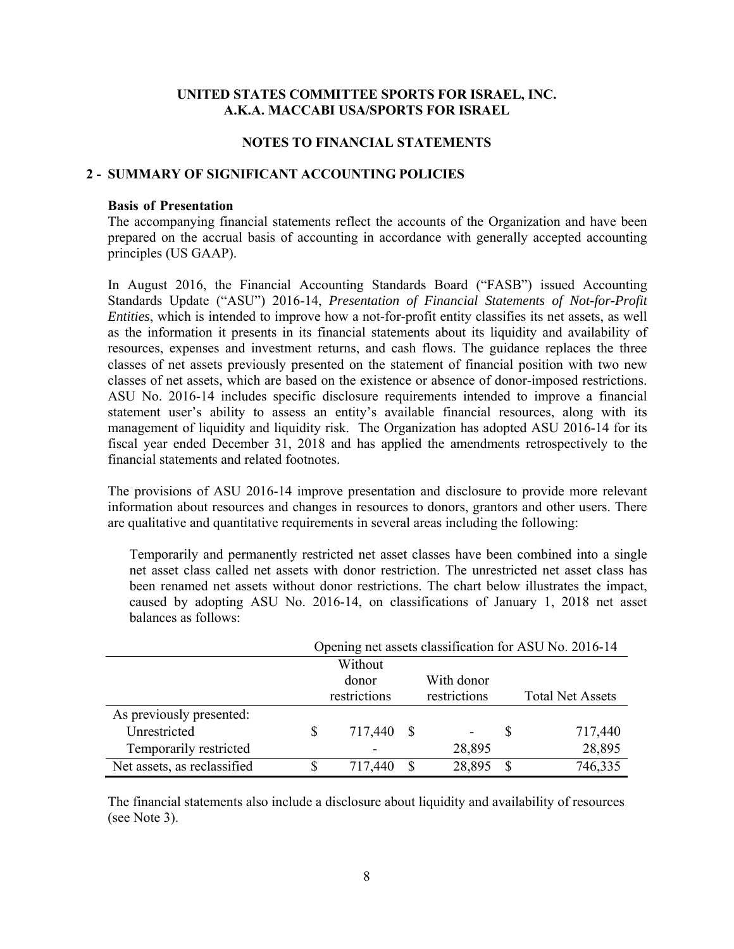#### **NOTES TO FINANCIAL STATEMENTS**

## **2 - SUMMARY OF SIGNIFICANT ACCOUNTING POLICIES**

#### **Basis of Presentation**

The accompanying financial statements reflect the accounts of the Organization and have been prepared on the accrual basis of accounting in accordance with generally accepted accounting principles (US GAAP).

In August 2016, the Financial Accounting Standards Board ("FASB") issued Accounting Standards Update ("ASU") 2016-14, *Presentation of Financial Statements of Not-for-Profit Entities*, which is intended to improve how a not-for-profit entity classifies its net assets, as well as the information it presents in its financial statements about its liquidity and availability of resources, expenses and investment returns, and cash flows. The guidance replaces the three classes of net assets previously presented on the statement of financial position with two new classes of net assets, which are based on the existence or absence of donor-imposed restrictions. ASU No. 2016-14 includes specific disclosure requirements intended to improve a financial statement user's ability to assess an entity's available financial resources, along with its management of liquidity and liquidity risk. The Organization has adopted ASU 2016-14 for its fiscal year ended December 31, 2018 and has applied the amendments retrospectively to the financial statements and related footnotes.

The provisions of ASU 2016-14 improve presentation and disclosure to provide more relevant information about resources and changes in resources to donors, grantors and other users. There are qualitative and quantitative requirements in several areas including the following:

Temporarily and permanently restricted net asset classes have been combined into a single net asset class called net assets with donor restriction. The unrestricted net asset class has been renamed net assets without donor restrictions. The chart below illustrates the impact, caused by adopting ASU No. 2016-14, on classifications of January 1, 2018 net asset balances as follows:

|                             | Opening net assets classification for ASU No. 2016-14 |                       |     |                            |          |                         |  |
|-----------------------------|-------------------------------------------------------|-----------------------|-----|----------------------------|----------|-------------------------|--|
|                             |                                                       | Without               |     |                            |          |                         |  |
|                             |                                                       | donor<br>restrictions |     | With donor<br>restrictions |          | <b>Total Net Assets</b> |  |
| As previously presented:    |                                                       |                       |     |                            |          |                         |  |
| Unrestricted                |                                                       | 717,440               | - S | $\overline{\phantom{a}}$   | S        | 717,440                 |  |
| Temporarily restricted      |                                                       |                       |     | 28,895                     |          | 28,895                  |  |
| Net assets, as reclassified | \$                                                    | 717,440               | -S  | 28,895                     | <b>S</b> | 746,335                 |  |

The financial statements also include a disclosure about liquidity and availability of resources (see Note 3).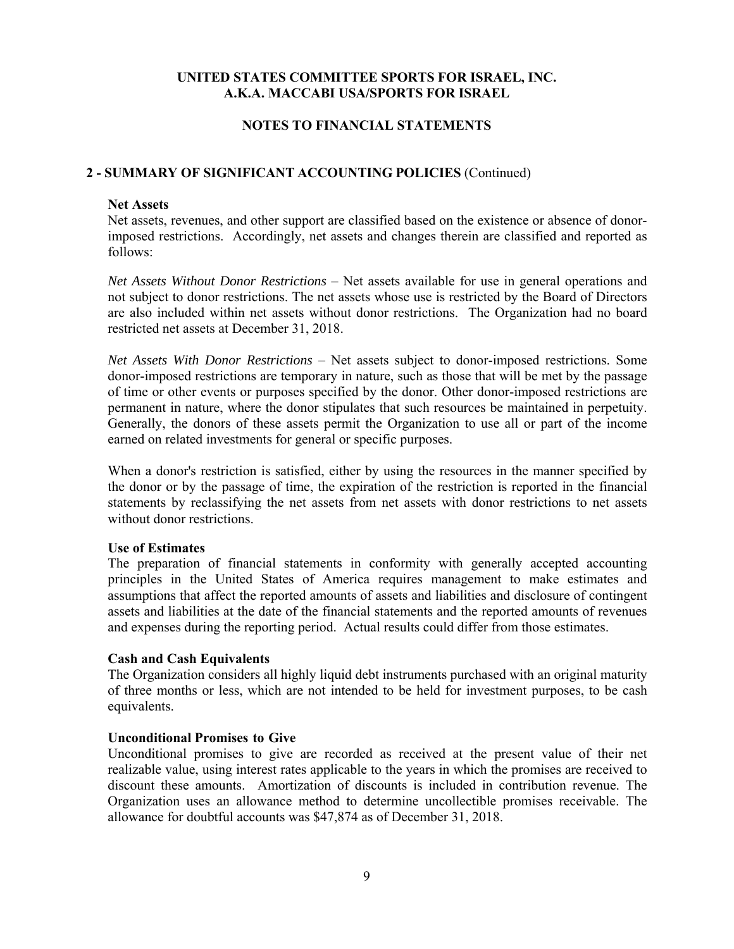## **NOTES TO FINANCIAL STATEMENTS**

#### **2 - SUMMARY OF SIGNIFICANT ACCOUNTING POLICIES** (Continued)

#### **Net Assets**

Net assets, revenues, and other support are classified based on the existence or absence of donorimposed restrictions. Accordingly, net assets and changes therein are classified and reported as follows:

*Net Assets Without Donor Restrictions* – Net assets available for use in general operations and not subject to donor restrictions. The net assets whose use is restricted by the Board of Directors are also included within net assets without donor restrictions. The Organization had no board restricted net assets at December 31, 2018.

*Net Assets With Donor Restrictions* – Net assets subject to donor-imposed restrictions. Some donor-imposed restrictions are temporary in nature, such as those that will be met by the passage of time or other events or purposes specified by the donor. Other donor-imposed restrictions are permanent in nature, where the donor stipulates that such resources be maintained in perpetuity. Generally, the donors of these assets permit the Organization to use all or part of the income earned on related investments for general or specific purposes.

When a donor's restriction is satisfied, either by using the resources in the manner specified by the donor or by the passage of time, the expiration of the restriction is reported in the financial statements by reclassifying the net assets from net assets with donor restrictions to net assets without donor restrictions.

#### **Use of Estimates**

The preparation of financial statements in conformity with generally accepted accounting principles in the United States of America requires management to make estimates and assumptions that affect the reported amounts of assets and liabilities and disclosure of contingent assets and liabilities at the date of the financial statements and the reported amounts of revenues and expenses during the reporting period. Actual results could differ from those estimates.

#### **Cash and Cash Equivalents**

The Organization considers all highly liquid debt instruments purchased with an original maturity of three months or less, which are not intended to be held for investment purposes, to be cash equivalents.

#### **Unconditional Promises to Give**

Unconditional promises to give are recorded as received at the present value of their net realizable value, using interest rates applicable to the years in which the promises are received to discount these amounts. Amortization of discounts is included in contribution revenue. The Organization uses an allowance method to determine uncollectible promises receivable. The allowance for doubtful accounts was \$47,874 as of December 31, 2018.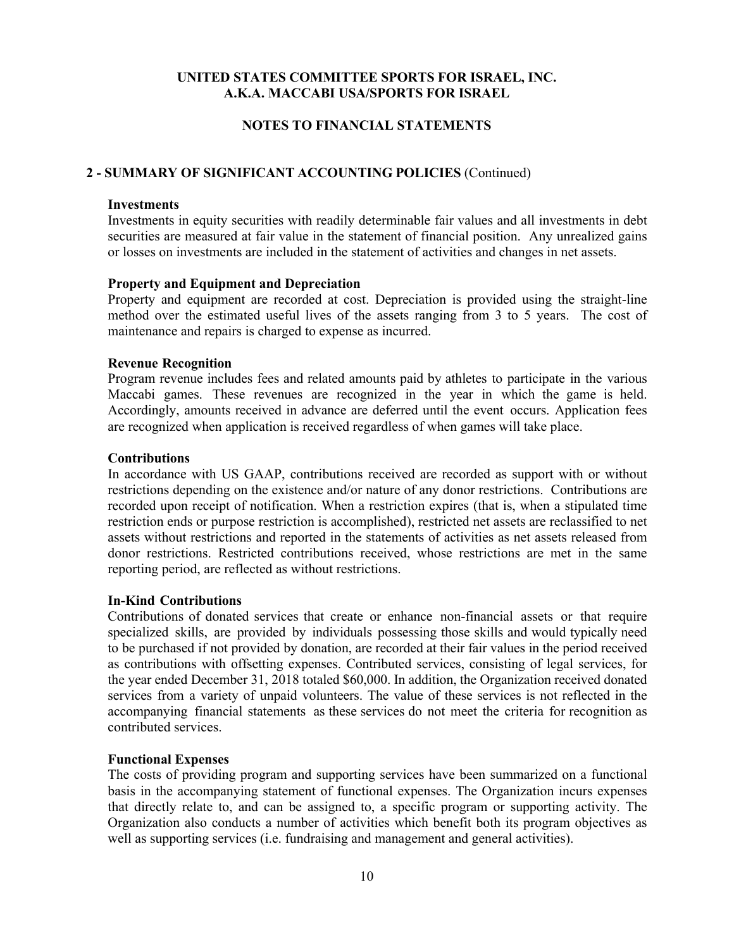## **NOTES TO FINANCIAL STATEMENTS**

#### **2 - SUMMARY OF SIGNIFICANT ACCOUNTING POLICIES** (Continued)

#### **Investments**

Investments in equity securities with readily determinable fair values and all investments in debt securities are measured at fair value in the statement of financial position. Any unrealized gains or losses on investments are included in the statement of activities and changes in net assets.

#### **Property and Equipment and Depreciation**

Property and equipment are recorded at cost. Depreciation is provided using the straight-line method over the estimated useful lives of the assets ranging from 3 to 5 years. The cost of maintenance and repairs is charged to expense as incurred.

#### **Revenue Recognition**

Program revenue includes fees and related amounts paid by athletes to participate in the various Maccabi games. These revenues are recognized in the year in which the game is held. Accordingly, amounts received in advance are deferred until the event occurs. Application fees are recognized when application is received regardless of when games will take place.

#### **Contributions**

In accordance with US GAAP, contributions received are recorded as support with or without restrictions depending on the existence and/or nature of any donor restrictions. Contributions are recorded upon receipt of notification. When a restriction expires (that is, when a stipulated time restriction ends or purpose restriction is accomplished), restricted net assets are reclassified to net assets without restrictions and reported in the statements of activities as net assets released from donor restrictions. Restricted contributions received, whose restrictions are met in the same reporting period, are reflected as without restrictions.

#### **In-Kind Contributions**

Contributions of donated services that create or enhance non-financial assets or that require specialized skills, are provided by individuals possessing those skills and would typically need to be purchased if not provided by donation, are recorded at their fair values in the period received as contributions with offsetting expenses. Contributed services, consisting of legal services, for the year ended December 31, 2018 totaled \$60,000. In addition, the Organization received donated services from a variety of unpaid volunteers. The value of these services is not reflected in the accompanying financial statements as these services do not meet the criteria for recognition as contributed services.

#### **Functional Expenses**

The costs of providing program and supporting services have been summarized on a functional basis in the accompanying statement of functional expenses. The Organization incurs expenses that directly relate to, and can be assigned to, a specific program or supporting activity. The Organization also conducts a number of activities which benefit both its program objectives as well as supporting services (i.e. fundraising and management and general activities).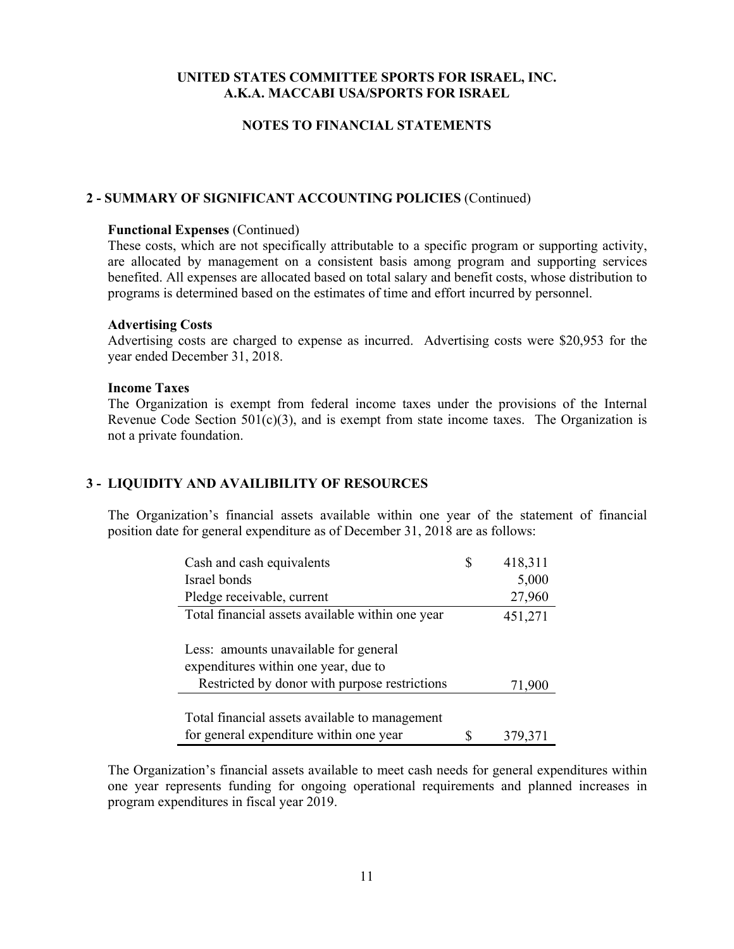## **NOTES TO FINANCIAL STATEMENTS**

#### **2 - SUMMARY OF SIGNIFICANT ACCOUNTING POLICIES** (Continued)

#### **Functional Expenses** (Continued)

These costs, which are not specifically attributable to a specific program or supporting activity, are allocated by management on a consistent basis among program and supporting services benefited. All expenses are allocated based on total salary and benefit costs, whose distribution to programs is determined based on the estimates of time and effort incurred by personnel.

#### **Advertising Costs**

Advertising costs are charged to expense as incurred. Advertising costs were \$20,953 for the year ended December 31, 2018.

#### **Income Taxes**

The Organization is exempt from federal income taxes under the provisions of the Internal Revenue Code Section  $501(c)(3)$ , and is exempt from state income taxes. The Organization is not a private foundation.

#### **3 - LIQUIDITY AND AVAILIBILITY OF RESOURCES**

The Organization's financial assets available within one year of the statement of financial position date for general expenditure as of December 31, 2018 are as follows:

| Cash and cash equivalents                                                                 | 418,311 |
|-------------------------------------------------------------------------------------------|---------|
| Israel bonds                                                                              | 5,000   |
| Pledge receivable, current                                                                | 27,960  |
| Total financial assets available within one year                                          | 451,271 |
| Less: amounts unavailable for general<br>expenditures within one year, due to             |         |
| Restricted by donor with purpose restrictions                                             | 71,900  |
| Total financial assets available to management<br>for general expenditure within one year | 379,371 |

The Organization's financial assets available to meet cash needs for general expenditures within one year represents funding for ongoing operational requirements and planned increases in program expenditures in fiscal year 2019.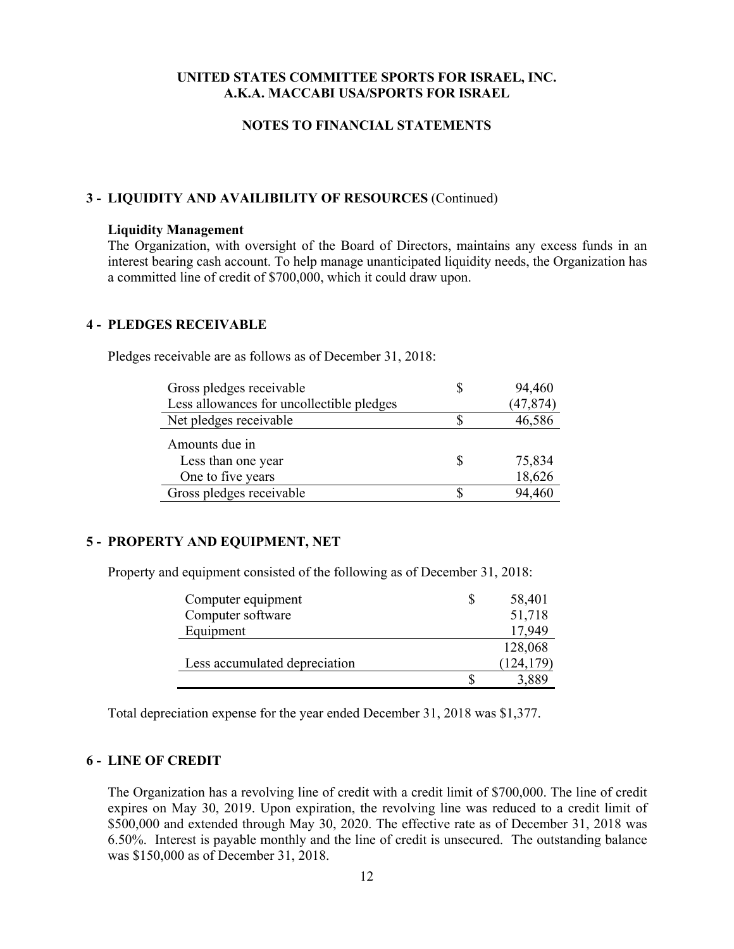#### **NOTES TO FINANCIAL STATEMENTS**

#### **3 - LIQUIDITY AND AVAILIBILITY OF RESOURCES** (Continued)

#### **Liquidity Management**

The Organization, with oversight of the Board of Directors, maintains any excess funds in an interest bearing cash account. To help manage unanticipated liquidity needs, the Organization has a committed line of credit of \$700,000, which it could draw upon.

## **4 - PLEDGES RECEIVABLE**

Pledges receivable are as follows as of December 31, 2018:

| Gross pledges receivable                  | 94,460    |
|-------------------------------------------|-----------|
| Less allowances for uncollectible pledges | (47, 874) |
| Net pledges receivable                    | 46,586    |
| Amounts due in                            |           |
| Less than one year                        | 75,834    |
| One to five years                         | 18,626    |
| Gross pledges receivable                  | 94,460    |

#### **5 - PROPERTY AND EQUIPMENT, NET**

Property and equipment consisted of the following as of December 31, 2018:

| Computer equipment            | 58,401     |
|-------------------------------|------------|
| Computer software             | 51,718     |
| Equipment                     | 17.949     |
|                               | 128,068    |
| Less accumulated depreciation | (124, 179) |
|                               | 3,889      |

Total depreciation expense for the year ended December 31, 2018 was \$1,377.

#### **6 - LINE OF CREDIT**

The Organization has a revolving line of credit with a credit limit of \$700,000. The line of credit expires on May 30, 2019. Upon expiration, the revolving line was reduced to a credit limit of \$500,000 and extended through May 30, 2020. The effective rate as of December 31, 2018 was 6.50%. Interest is payable monthly and the line of credit is unsecured. The outstanding balance was \$150,000 as of December 31, 2018.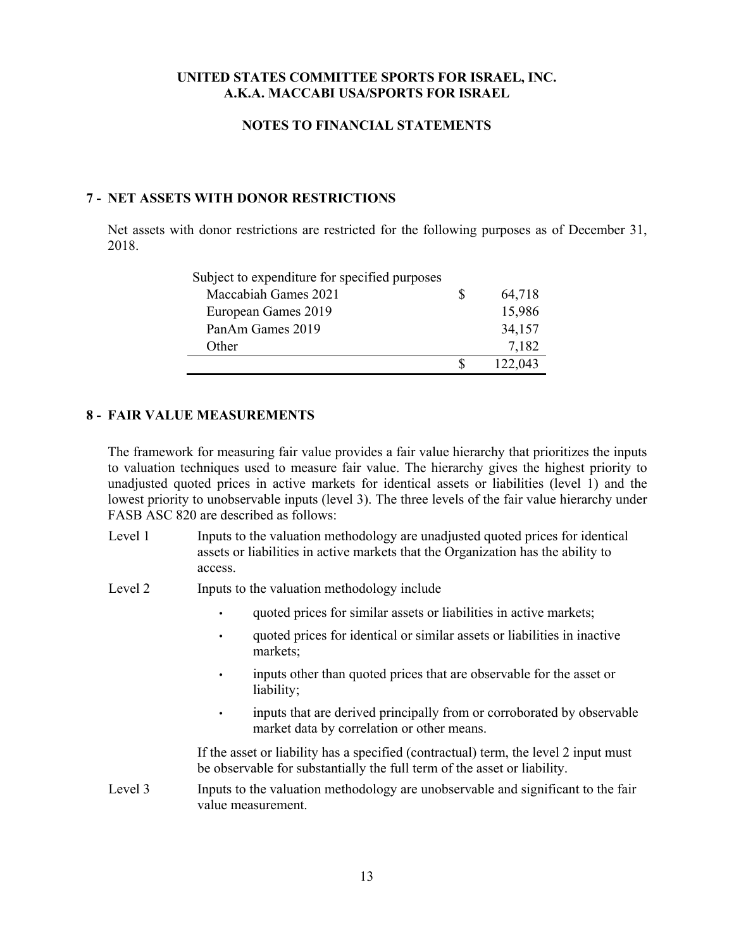#### **NOTES TO FINANCIAL STATEMENTS**

## **7 - NET ASSETS WITH DONOR RESTRICTIONS**

Net assets with donor restrictions are restricted for the following purposes as of December 31, 2018.

| Subject to expenditure for specified purposes |   |         |
|-----------------------------------------------|---|---------|
| Maccabiah Games 2021                          | S | 64,718  |
| European Games 2019                           |   | 15,986  |
| PanAm Games 2019                              |   | 34,157  |
| Other                                         |   | 7,182   |
|                                               |   | 122,043 |

#### **8 - FAIR VALUE MEASUREMENTS**

The framework for measuring fair value provides a fair value hierarchy that prioritizes the inputs to valuation techniques used to measure fair value. The hierarchy gives the highest priority to unadjusted quoted prices in active markets for identical assets or liabilities (level 1) and the lowest priority to unobservable inputs (level 3). The three levels of the fair value hierarchy under FASB ASC 820 are described as follows:

- Level 1 Inputs to the valuation methodology are unadjusted quoted prices for identical assets or liabilities in active markets that the Organization has the ability to access.
- Level 2 Inputs to the valuation methodology include
	- quoted prices for similar assets or liabilities in active markets;
	- quoted prices for identical or similar assets or liabilities in inactive markets;
	- inputs other than quoted prices that are observable for the asset or liability;
	- inputs that are derived principally from or corroborated by observable market data by correlation or other means.

If the asset or liability has a specified (contractual) term, the level 2 input must be observable for substantially the full term of the asset or liability.

Level 3 Inputs to the valuation methodology are unobservable and significant to the fair value measurement.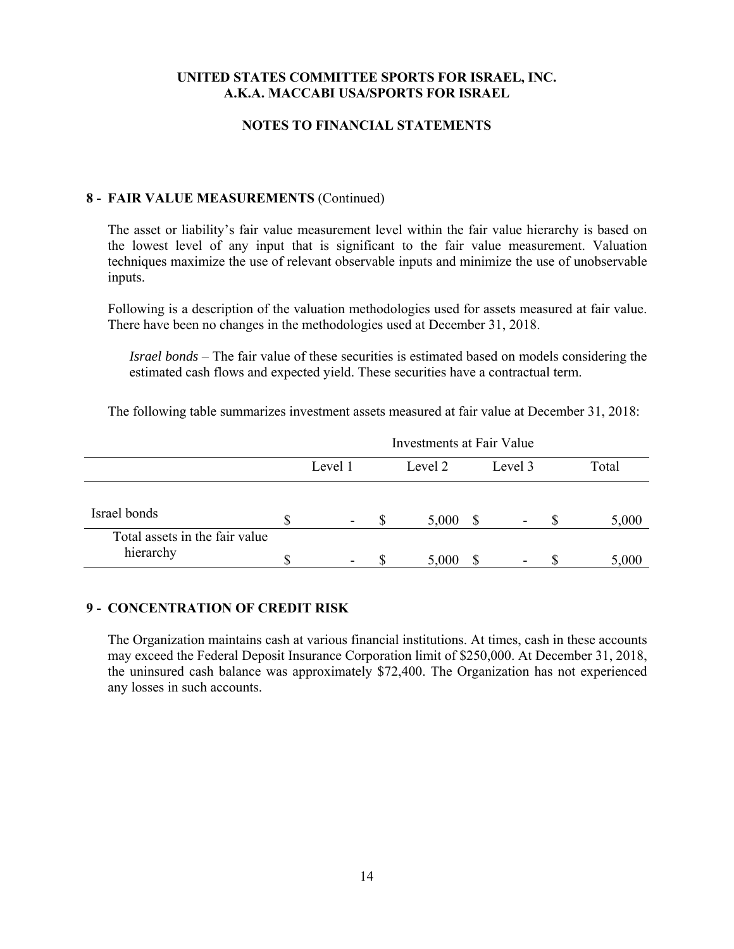#### **NOTES TO FINANCIAL STATEMENTS**

### **8 - FAIR VALUE MEASUREMENTS** (Continued)

The asset or liability's fair value measurement level within the fair value hierarchy is based on the lowest level of any input that is significant to the fair value measurement. Valuation techniques maximize the use of relevant observable inputs and minimize the use of unobservable inputs.

Following is a description of the valuation methodologies used for assets measured at fair value. There have been no changes in the methodologies used at December 31, 2018.

*Israel bonds* – The fair value of these securities is estimated based on models considering the estimated cash flows and expected yield. These securities have a contractual term.

The following table summarizes investment assets measured at fair value at December 31, 2018:

|                                             | <b>Investments at Fair Value</b> |                          |  |         |  |                          |  |       |
|---------------------------------------------|----------------------------------|--------------------------|--|---------|--|--------------------------|--|-------|
|                                             |                                  | Level 1                  |  | Level 2 |  | Level 3                  |  | Total |
| Israel bonds                                |                                  | $\overline{\phantom{a}}$ |  | 5,000   |  | $\overline{\phantom{a}}$ |  | 5,000 |
| Total assets in the fair value<br>hierarchy |                                  | $\qquad \qquad$          |  | 5,000   |  | $\overline{\phantom{a}}$ |  | 5,000 |

## **9 - CONCENTRATION OF CREDIT RISK**

The Organization maintains cash at various financial institutions. At times, cash in these accounts may exceed the Federal Deposit Insurance Corporation limit of \$250,000. At December 31, 2018, the uninsured cash balance was approximately \$72,400. The Organization has not experienced any losses in such accounts.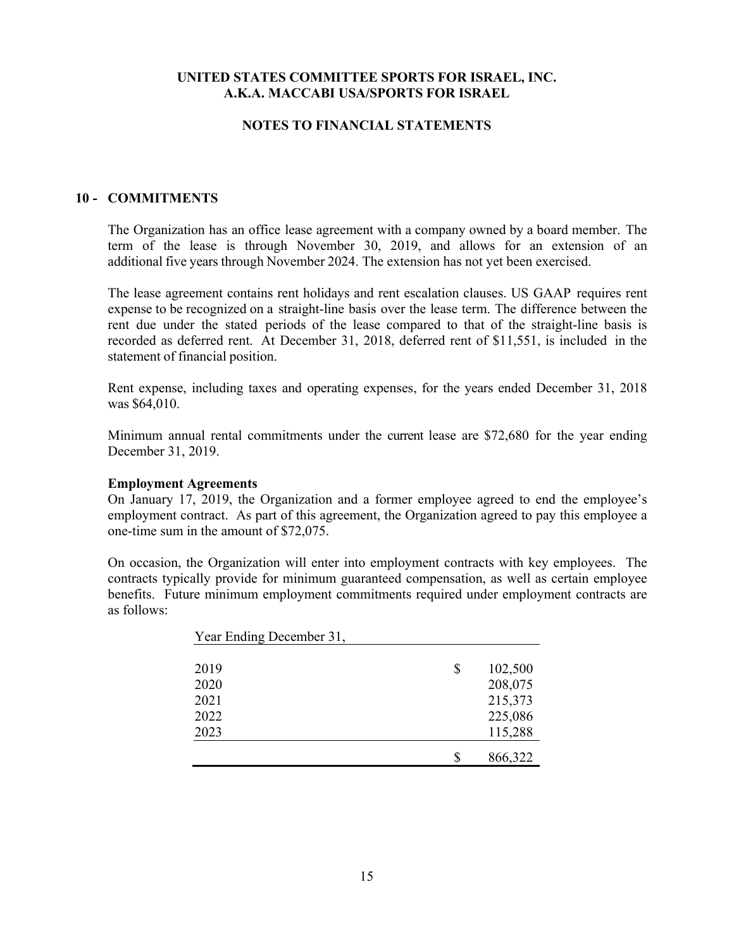#### **NOTES TO FINANCIAL STATEMENTS**

## **10 - COMMITMENTS**

The Organization has an office lease agreement with a company owned by a board member. The term of the lease is through November 30, 2019, and allows for an extension of an additional five years through November 2024. The extension has not yet been exercised.

The lease agreement contains rent holidays and rent escalation clauses. US GAAP requires rent expense to be recognized on a straight-line basis over the lease term. The difference between the rent due under the stated periods of the lease compared to that of the straight-line basis is recorded as deferred rent. At December 31, 2018, deferred rent of \$11,551, is included in the statement of financial position.

Rent expense, including taxes and operating expenses, for the years ended December 31, 2018 was \$64,010.

Minimum annual rental commitments under the current lease are \$72,680 for the year ending December 31, 2019.

#### **Employment Agreements**

On January 17, 2019, the Organization and a former employee agreed to end the employee's employment contract. As part of this agreement, the Organization agreed to pay this employee a one-time sum in the amount of \$72,075.

On occasion, the Organization will enter into employment contracts with key employees. The contracts typically provide for minimum guaranteed compensation, as well as certain employee benefits. Future minimum employment commitments required under employment contracts are as follows:

| Year Ending December 31, |    |         |
|--------------------------|----|---------|
|                          |    |         |
| 2019                     | \$ | 102,500 |
| 2020                     |    | 208,075 |
| 2021                     |    | 215,373 |
| 2022                     |    | 225,086 |
| 2023                     |    | 115,288 |
|                          | S  | 866,322 |